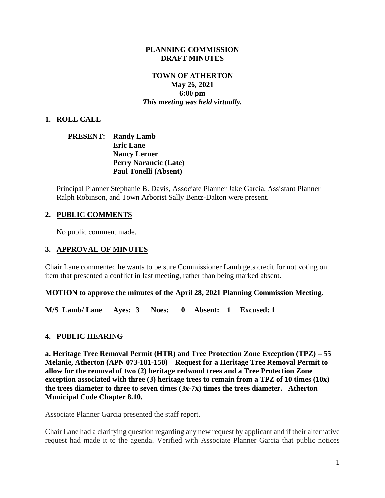### **PLANNING COMMISSION DRAFT MINUTES**

## **TOWN OF ATHERTON May 26, 2021 6:00 pm** *This meeting was held virtually.*

# **1. ROLL CALL**

# **PRESENT: Randy Lamb Eric Lane Nancy Lerner Perry Narancic (Late) Paul Tonelli (Absent)**

Principal Planner Stephanie B. Davis, Associate Planner Jake Garcia, Assistant Planner Ralph Robinson, and Town Arborist Sally Bentz-Dalton were present.

## **2. PUBLIC COMMENTS**

No public comment made.

### **3. APPROVAL OF MINUTES**

Chair Lane commented he wants to be sure Commissioner Lamb gets credit for not voting on item that presented a conflict in last meeting, rather than being marked absent.

### **MOTION to approve the minutes of the April 28, 2021 Planning Commission Meeting.**

**M/S Lamb/ Lane Ayes: 3 Noes: 0 Absent: 1 Excused: 1**

### **4. PUBLIC HEARING**

**a. Heritage Tree Removal Permit (HTR) and Tree Protection Zone Exception (TPZ) – 55 Melanie, Atherton (APN 073-181-150) – Request for a Heritage Tree Removal Permit to allow for the removal of two (2) heritage redwood trees and a Tree Protection Zone exception associated with three (3) heritage trees to remain from a TPZ of 10 times (10x) the trees diameter to three to seven times (3x-7x) times the trees diameter. Atherton Municipal Code Chapter 8.10.**

Associate Planner Garcia presented the staff report.

Chair Lane had a clarifying question regarding any new request by applicant and if their alternative request had made it to the agenda. Verified with Associate Planner Garcia that public notices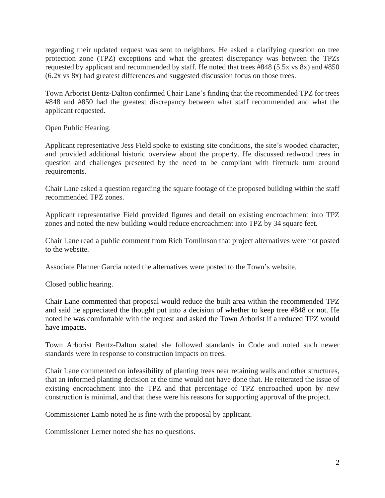regarding their updated request was sent to neighbors. He asked a clarifying question on tree protection zone (TPZ) exceptions and what the greatest discrepancy was between the TPZs requested by applicant and recommended by staff. He noted that trees #848 (5.5x vs 8x) and #850 (6.2x vs 8x) had greatest differences and suggested discussion focus on those trees.

Town Arborist Bentz-Dalton confirmed Chair Lane's finding that the recommended TPZ for trees #848 and #850 had the greatest discrepancy between what staff recommended and what the applicant requested.

Open Public Hearing.

Applicant representative Jess Field spoke to existing site conditions, the site's wooded character, and provided additional historic overview about the property. He discussed redwood trees in question and challenges presented by the need to be compliant with firetruck turn around requirements.

Chair Lane asked a question regarding the square footage of the proposed building within the staff recommended TPZ zones.

Applicant representative Field provided figures and detail on existing encroachment into TPZ zones and noted the new building would reduce encroachment into TPZ by 34 square feet.

Chair Lane read a public comment from Rich Tomlinson that project alternatives were not posted to the website.

Associate Planner Garcia noted the alternatives were posted to the Town's website.

Closed public hearing.

Chair Lane commented that proposal would reduce the built area within the recommended TPZ and said he appreciated the thought put into a decision of whether to keep tree #848 or not. He noted he was comfortable with the request and asked the Town Arborist if a reduced TPZ would have impacts.

Town Arborist Bentz-Dalton stated she followed standards in Code and noted such newer standards were in response to construction impacts on trees.

Chair Lane commented on infeasibility of planting trees near retaining walls and other structures, that an informed planting decision at the time would not have done that. He reiterated the issue of existing encroachment into the TPZ and that percentage of TPZ encroached upon by new construction is minimal, and that these were his reasons for supporting approval of the project.

Commissioner Lamb noted he is fine with the proposal by applicant.

Commissioner Lerner noted she has no questions.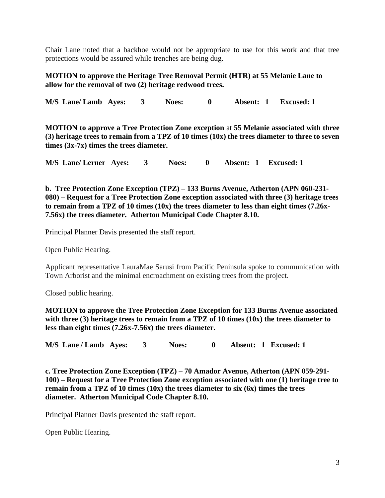Chair Lane noted that a backhoe would not be appropriate to use for this work and that tree protections would be assured while trenches are being dug.

## **MOTION to approve the Heritage Tree Removal Permit (HTR) at 55 Melanie Lane to allow for the removal of two (2) heritage redwood trees.**

**M/S Lane/ Lamb Ayes: 3 Noes: 0 Absent: 1 Excused: 1**

**MOTION to approve a Tree Protection Zone exception** at **55 Melanie associated with three (3) heritage trees to remain from a TPZ of 10 times (10x) the trees diameter to three to seven times (3x-7x) times the trees diameter.**

**M/S Lane/ Lerner Ayes: 3 Noes: 0 Absent: 1 Excused: 1**

**b. Tree Protection Zone Exception (TPZ) – 133 Burns Avenue, Atherton (APN 060-231- 080) – Request for a Tree Protection Zone exception associated with three (3) heritage trees to remain from a TPZ of 10 times (10x) the trees diameter to less than eight times (7.26x-7.56x) the trees diameter. Atherton Municipal Code Chapter 8.10.**

Principal Planner Davis presented the staff report.

Open Public Hearing.

Applicant representative LauraMae Sarusi from Pacific Peninsula spoke to communication with Town Arborist and the minimal encroachment on existing trees from the project.

Closed public hearing.

**MOTION to approve the Tree Protection Zone Exception for 133 Burns Avenue associated with three (3) heritage trees to remain from a TPZ of 10 times (10x) the trees diameter to less than eight times (7.26x-7.56x) the trees diameter.** 

**M/S Lane / Lamb Ayes: 3 Noes: 0 Absent: 1 Excused: 1**

**c. Tree Protection Zone Exception (TPZ) – 70 Amador Avenue, Atherton (APN 059-291- 100) – Request for a Tree Protection Zone exception associated with one (1) heritage tree to remain from a TPZ of 10 times (10x) the trees diameter to six (6x) times the trees diameter. Atherton Municipal Code Chapter 8.10.**

Principal Planner Davis presented the staff report.

Open Public Hearing.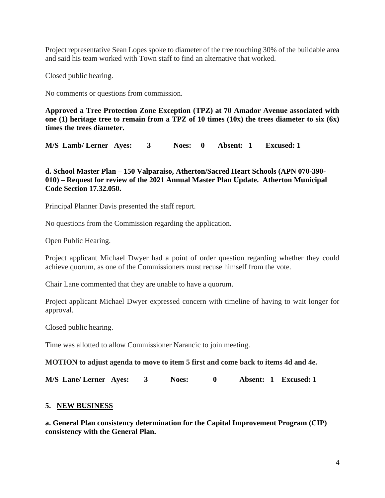Project representative Sean Lopes spoke to diameter of the tree touching 30% of the buildable area and said his team worked with Town staff to find an alternative that worked.

Closed public hearing.

No comments or questions from commission.

**Approved a Tree Protection Zone Exception (TPZ) at 70 Amador Avenue associated with one (1) heritage tree to remain from a TPZ of 10 times (10x) the trees diameter to six (6x) times the trees diameter.**

**M/S Lamb/ Lerner Ayes: 3 Noes: 0 Absent: 1 Excused: 1**

**d. School Master Plan – 150 Valparaiso, Atherton/Sacred Heart Schools (APN 070-390- 010) – Request for review of the 2021 Annual Master Plan Update. Atherton Municipal Code Section 17.32.050.**

Principal Planner Davis presented the staff report.

No questions from the Commission regarding the application.

Open Public Hearing.

Project applicant Michael Dwyer had a point of order question regarding whether they could achieve quorum, as one of the Commissioners must recuse himself from the vote.

Chair Lane commented that they are unable to have a quorum.

Project applicant Michael Dwyer expressed concern with timeline of having to wait longer for approval.

Closed public hearing.

Time was allotted to allow Commissioner Narancic to join meeting.

**MOTION to adjust agenda to move to item 5 first and come back to items 4d and 4e.**

**M/S Lane/ Lerner Ayes: 3 Noes: 0 Absent: 1 Excused: 1**

### **5. NEW BUSINESS**

**a. General Plan consistency determination for the Capital Improvement Program (CIP) consistency with the General Plan.**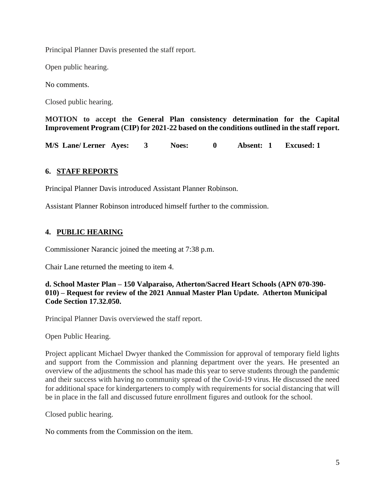Principal Planner Davis presented the staff report.

Open public hearing.

No comments.

Closed public hearing.

**MOTION to accept the General Plan consistency determination for the Capital Improvement Program (CIP) for 2021-22 based on the conditions outlined in the staff report.**

**M/S Lane/ Lerner Ayes: 3 Noes: 0 Absent: 1 Excused: 1**

## **6. STAFF REPORTS**

Principal Planner Davis introduced Assistant Planner Robinson.

Assistant Planner Robinson introduced himself further to the commission.

# **4. PUBLIC HEARING**

Commissioner Narancic joined the meeting at 7:38 p.m.

Chair Lane returned the meeting to item 4.

**d. School Master Plan – 150 Valparaiso, Atherton/Sacred Heart Schools (APN 070-390- 010) – Request for review of the 2021 Annual Master Plan Update. Atherton Municipal Code Section 17.32.050.**

Principal Planner Davis overviewed the staff report.

Open Public Hearing.

Project applicant Michael Dwyer thanked the Commission for approval of temporary field lights and support from the Commission and planning department over the years. He presented an overview of the adjustments the school has made this year to serve students through the pandemic and their success with having no community spread of the Covid-19 virus. He discussed the need for additional space for kindergarteners to comply with requirements for social distancing that will be in place in the fall and discussed future enrollment figures and outlook for the school.

Closed public hearing.

No comments from the Commission on the item.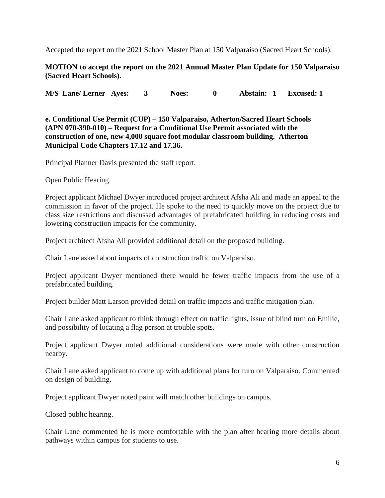Accepted the report on the 2021 School Master Plan at 150 Valparaiso (Sacred Heart Schools).

## **MOTION to accept the report on the 2021 Annual Master Plan Update for 150 Valparaiso (Sacred Heart Schools).**

**M/S Lane/ Lerner Ayes: 3 Noes: 0 Abstain: 1 Excused: 1**

**e. Conditional Use Permit (CUP) – 150 Valparaiso, Atherton/Sacred Heart Schools (APN 070-390-010) – Request for a Conditional Use Permit associated with the construction of one, new 4,000 square foot modular classroom building. Atherton Municipal Code Chapters 17.12 and 17.36.**

Principal Planner Davis presented the staff report.

Open Public Hearing.

Project applicant Michael Dwyer introduced project architect Afsha Ali and made an appeal to the commission in favor of the project. He spoke to the need to quickly move on the project due to class size restrictions and discussed advantages of prefabricated building in reducing costs and lowering construction impacts for the community.

Project architect Afsha Ali provided additional detail on the proposed building.

Chair Lane asked about impacts of construction traffic on Valparaiso.

Project applicant Dwyer mentioned there would be fewer traffic impacts from the use of a prefabricated building.

Project builder Matt Larson provided detail on traffic impacts and traffic mitigation plan.

Chair Lane asked applicant to think through effect on traffic lights, issue of blind turn on Emilie, and possibility of locating a flag person at trouble spots.

Project applicant Dwyer noted additional considerations were made with other construction nearby.

Chair Lane asked applicant to come up with additional plans for turn on Valparaiso. Commented on design of building.

Project applicant Dwyer noted paint will match other buildings on campus.

Closed public hearing.

Chair Lane commented he is more comfortable with the plan after hearing more details about pathways within campus for students to use.